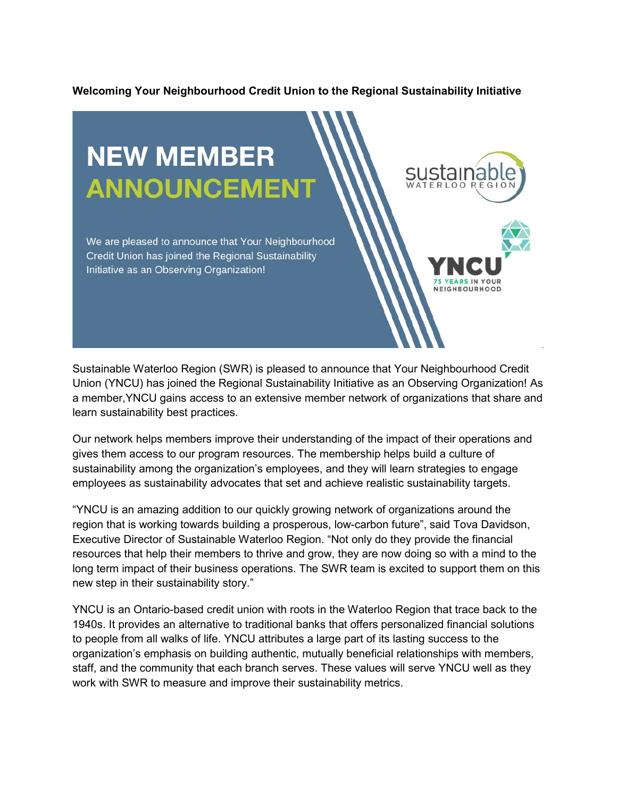## **Welcoming Your Neighbourhood Credit Union to the Regional Sustainability Initiative**



Sustainable Waterloo Region (SWR) is pleased to announce that Your Neighbourhood Credit Union (YNCU) has joined the Regional Sustainability Initiative as an Observing Organization! As a member,YNCU gains access to an extensive member network of organizations that share and learn sustainability best practices.

Our network helps members improve their understanding of the impact of their operations and gives them access to our program resources. The membership helps build a culture of sustainability among the organization's employees, and they will learn strategies to engage employees as sustainability advocates that set and achieve realistic sustainability targets.

"YNCU is an amazing addition to our quickly growing network of organizations around the region that is working towards building a prosperous, low-carbon future", said Tova Davidson, Executive Director of Sustainable Waterloo Region. "Not only do they provide the financial resources that help their members to thrive and grow, they are now doing so with a mind to the long term impact of their business operations. The SWR team is excited to support them on this new step in their sustainability story."

YNCU is an Ontario-based credit union with roots in the Waterloo Region that trace back to the 1940s. It provides an alternative to traditional banks that offers personalized financial solutions to people from all walks of life. YNCU attributes a large part of its lasting success to the organization's emphasis on building authentic, mutually beneficial relationships with members, staff, and the community that each branch serves. These values will serve YNCU well as they work with SWR to measure and improve their sustainability metrics.